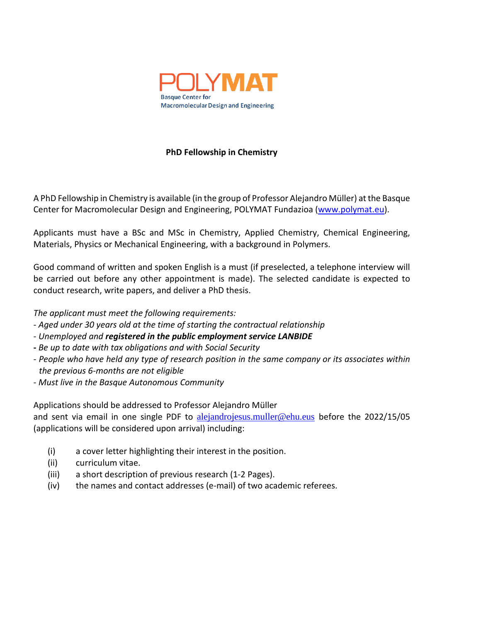

## **PhD Fellowship in Chemistry**

A PhD Fellowship in Chemistry is available (in the group of Professor Alejandro Müller) at the Basque Center for Macromolecular Design and Engineering, POLYMAT Fundazioa [\(www.polymat.eu\)](http://www.polymat.eu/).

Applicants must have a BSc and MSc in Chemistry, Applied Chemistry, Chemical Engineering, Materials, Physics or Mechanical Engineering, with a background in Polymers.

Good command of written and spoken English is a must (if preselected, a telephone interview will be carried out before any other appointment is made). The selected candidate is expected to conduct research, write papers, and deliver a PhD thesis.

*The applicant must meet the following requirements:*

- *- Aged under 30 years old at the time of starting the contractual relationship*
- *- Unemployed and registered in the public employment service LANBIDE*
- *- Be up to date with tax obligations and with Social Security*
- *- People who have held any type of research position in the same company or its associates within the previous 6-months are not eligible*
- *- Must live in the Basque Autonomous Community*

Applications should be addressed to Professor Alejandro Müller

and sent via email in one single PDF to [alejandrojesus.muller@ehu.eus](mailto:alejandrojesus.muller@ehu.eus) before the 2022/15/05 (applications will be considered upon arrival) including:

- (i) a cover letter highlighting their interest in the position.
- (ii) curriculum vitae.
- (iii) a short description of previous research (1-2 Pages).
- (iv) the names and contact addresses (e-mail) of two academic referees.